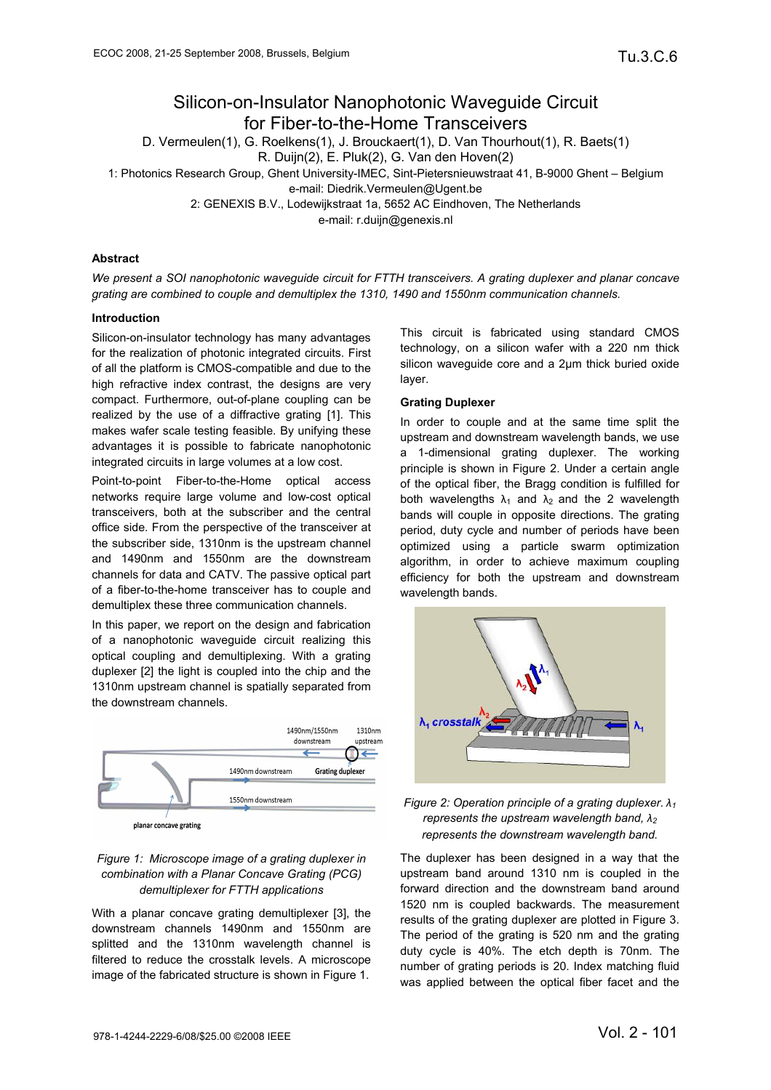# Silicon-on-Insulator Nanophotonic Waveguide Circuit for Fiber-to-the-Home Transceivers

D. Vermeulen(1), G. Roelkens(1), J. Brouckaert(1), D. Van Thourhout(1), R. Baets(1) R. Duijn(2), E. Pluk(2), G. Van den Hoven(2)

1: Photonics Research Group, Ghent University-IMEC, Sint-Pietersnieuwstraat 41, B-9000 Ghent – Belgium

e-mail: Diedrik.Vermeulen@Ugent.be

2: GENEXIS B.V., Lodewijkstraat 1a, 5652 AC Eindhoven, The Netherlands

e-mail: r.duijn@genexis.nl

## **Abstract**

*We present a SOI nanophotonic waveguide circuit for FTTH transceivers. A grating duplexer and planar concave grating are combined to couple and demultiplex the 1310, 1490 and 1550nm communication channels.* 

# **Introduction**

Silicon-on-insulator technology has many advantages for the realization of photonic integrated circuits. First of all the platform is CMOS-compatible and due to the high refractive index contrast, the designs are very compact. Furthermore, out-of-plane coupling can be realized by the use of a diffractive grating [1]. This makes wafer scale testing feasible. By unifying these advantages it is possible to fabricate nanophotonic integrated circuits in large volumes at a low cost.

Point-to-point Fiber-to-the-Home optical access networks require large volume and low-cost optical transceivers, both at the subscriber and the central office side. From the perspective of the transceiver at the subscriber side, 1310nm is the upstream channel and 1490nm and 1550nm are the downstream channels for data and CATV. The passive optical part of a fiber-to-the-home transceiver has to couple and demultiplex these three communication channels.

In this paper, we report on the design and fabrication of a nanophotonic waveguide circuit realizing this optical coupling and demultiplexing. With a grating duplexer [2] the light is coupled into the chip and the 1310nm upstream channel is spatially separated from the downstream channels.



planar concave grating

# *Figure 1: Microscope image of a grating duplexer in combination with a Planar Concave Grating (PCG) demultiplexer for FTTH applications*

With a planar concave grating demultiplexer [3], the downstream channels 1490nm and 1550nm are splitted and the 1310nm wavelength channel is filtered to reduce the crosstalk levels. A microscope image of the fabricated structure is shown in Figure 1.

This circuit is fabricated using standard CMOS technology, on a silicon wafer with a 220 nm thick silicon waveguide core and a 2µm thick buried oxide layer.

#### **Grating Duplexer**

In order to couple and at the same time split the upstream and downstream wavelength bands, we use a 1-dimensional grating duplexer. The working principle is shown in Figure 2. Under a certain angle of the optical fiber, the Bragg condition is fulfilled for both wavelengths  $\lambda_1$  and  $\lambda_2$  and the 2 wavelength bands will couple in opposite directions. The grating period, duty cycle and number of periods have been optimized using a particle swarm optimization algorithm, in order to achieve maximum coupling efficiency for both the upstream and downstream wavelength bands.



# *Figure 2: Operation principle of a grating duplexer. λ1 represents the upstream wavelength band, λ<sup>2</sup> represents the downstream wavelength band.*

The duplexer has been designed in a way that the upstream band around 1310 nm is coupled in the forward direction and the downstream band around 1520 nm is coupled backwards. The measurement results of the grating duplexer are plotted in Figure 3. The period of the grating is 520 nm and the grating duty cycle is 40%. The etch depth is 70nm. The number of grating periods is 20. Index matching fluid was applied between the optical fiber facet and the